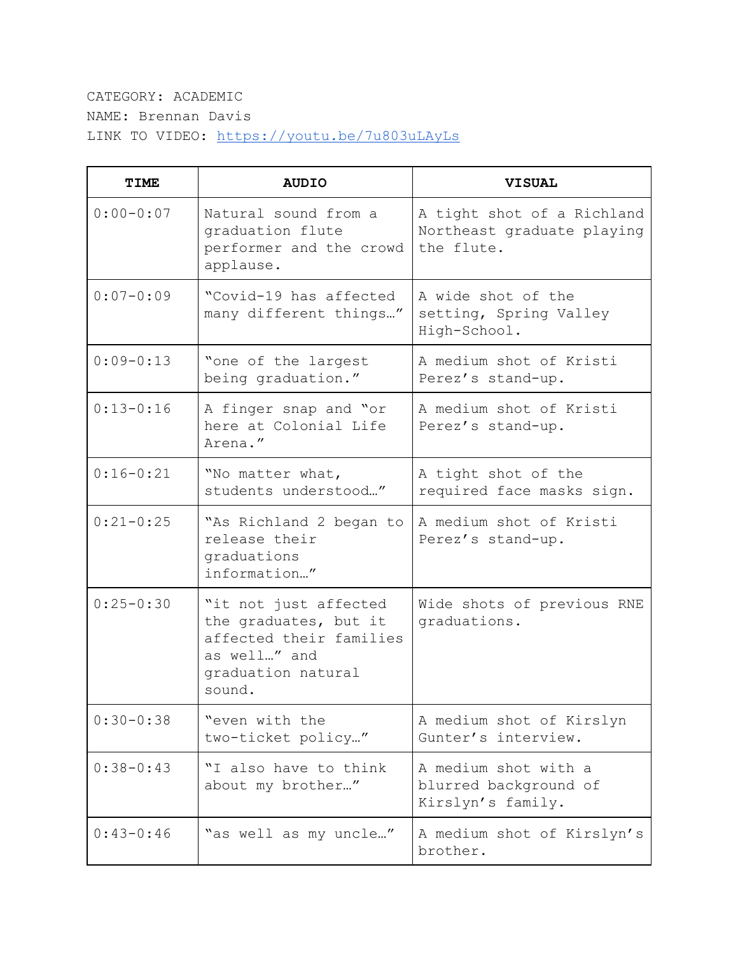## CATEGORY: ACADEMIC NAME: Brennan Davis LINK TO VIDEO: <https://youtu.be/7u803uLAyLs>

| <b>TIME</b>   | <b>AUDIO</b>                                                                                                              | <b>VISUAL</b>                                                          |
|---------------|---------------------------------------------------------------------------------------------------------------------------|------------------------------------------------------------------------|
| $0:00 - 0:07$ | Natural sound from a<br>graduation flute<br>performer and the crowd<br>applause.                                          | A tight shot of a Richland<br>Northeast graduate playing<br>the flute. |
| $0:07 - 0:09$ | "Covid-19 has affected<br>many different things"                                                                          | A wide shot of the<br>setting, Spring Valley<br>High-School.           |
| $0:09-0:13$   | "one of the largest<br>being graduation."                                                                                 | A medium shot of Kristi<br>Perez's stand-up.                           |
| $0:13-0:16$   | A finger snap and "or<br>here at Colonial Life<br>Arena."                                                                 | A medium shot of Kristi<br>Perez's stand-up.                           |
| $0:16 - 0:21$ | "No matter what,<br>students understood"                                                                                  | A tight shot of the<br>required face masks sign.                       |
| $0:21-0:25$   | "As Richland 2 began to<br>release their<br>graduations<br>information"                                                   | A medium shot of Kristi<br>Perez's stand-up.                           |
| $0:25 - 0:30$ | "it not just affected<br>the graduates, but it<br>affected their families<br>as well" and<br>graduation natural<br>sound. | Wide shots of previous RNE<br>graduations.                             |
| $0:30 - 0:38$ | "even with the<br>two-ticket policy"                                                                                      | A medium shot of Kirslyn<br>Gunter's interview.                        |
| $0:38 - 0:43$ | "I also have to think<br>about my brother"                                                                                | A medium shot with a<br>blurred background of<br>Kirslyn's family.     |
| $0:43-0:46$   | "as well as my uncle"                                                                                                     | A medium shot of Kirslyn's<br>brother.                                 |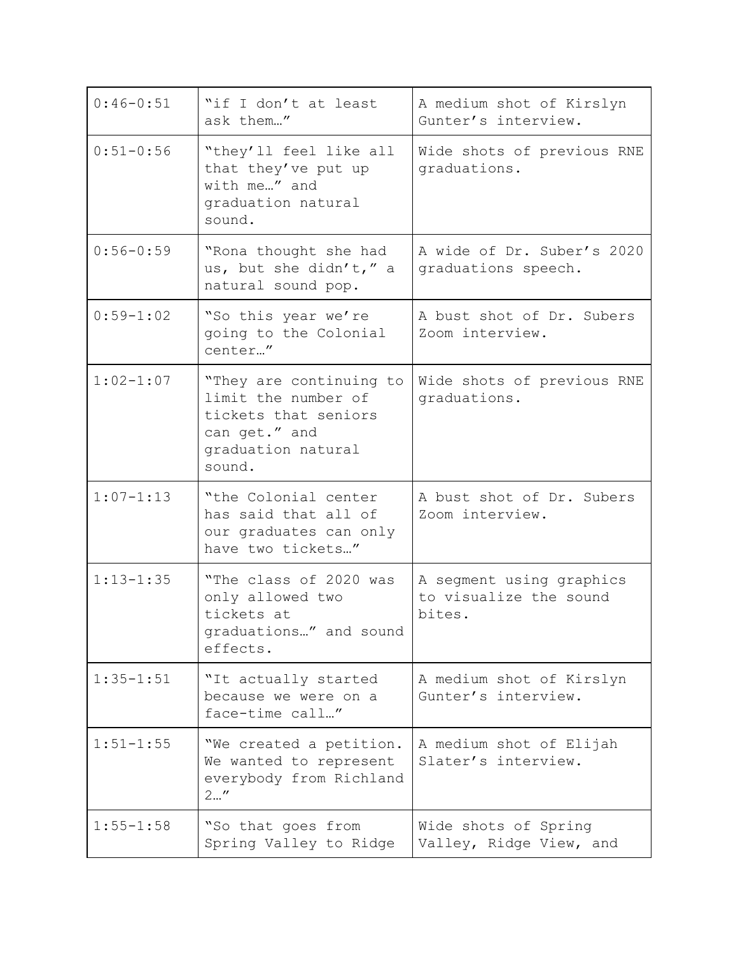| $0:46-0:51$   | "if I don't at least<br>ask them"                                                                                       | A medium shot of Kirslyn<br>Gunter's interview.              |
|---------------|-------------------------------------------------------------------------------------------------------------------------|--------------------------------------------------------------|
| $0:51 - 0:56$ | "they'll feel like all<br>that they've put up<br>with me" and<br>graduation natural<br>sound.                           | Wide shots of previous RNE<br>graduations.                   |
| $0:56 - 0:59$ | "Rona thought she had<br>us, but she didn't," a<br>natural sound pop.                                                   | A wide of Dr. Suber's 2020<br>graduations speech.            |
| $0:59 - 1:02$ | "So this year we're<br>going to the Colonial<br>center"                                                                 | A bust shot of Dr. Subers<br>Zoom interview.                 |
| $1:02 - 1:07$ | "They are continuing to<br>limit the number of<br>tickets that seniors<br>can get." and<br>graduation natural<br>sound. | Wide shots of previous RNE<br>graduations.                   |
| $1:07 - 1:13$ | "the Colonial center<br>has said that all of<br>our graduates can only<br>have two tickets"                             | A bust shot of Dr. Subers<br>Zoom interview.                 |
| $1:13 - 1:35$ | "The class of 2020 was<br>only allowed two<br>tickets at<br>graduations" and sound<br>effects.                          | A segment using graphics<br>to visualize the sound<br>bites. |
| $1:35 - 1:51$ | "It actually started<br>because we were on a<br>face-time call"                                                         | A medium shot of Kirslyn<br>Gunter's interview.              |
| $1:51 - 1:55$ | "We created a petition.<br>We wanted to represent<br>everybody from Richland<br>2''                                     | A medium shot of Elijah<br>Slater's interview.               |
| $1:55 - 1:58$ | "So that goes from<br>Spring Valley to Ridge                                                                            | Wide shots of Spring<br>Valley, Ridge View, and              |